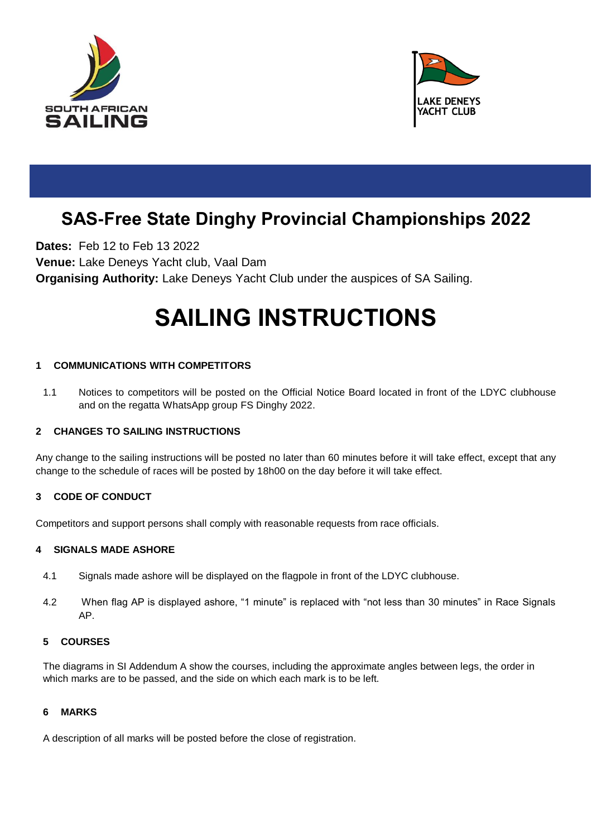



## **SAS-Free State Dinghy Provincial Championships 2022**

**Dates:** Feb 12 to Feb 13 2022 **Venue:** Lake Deneys Yacht club, Vaal Dam **Organising Authority:** Lake Deneys Yacht Club under the auspices of SA Sailing.

# **SAILING INSTRUCTIONS**

#### **1 COMMUNICATIONS WITH COMPETITORS**

1.1 Notices to competitors will be posted on the Official Notice Board located in front of the LDYC clubhouse and on the regatta WhatsApp group FS Dinghy 2022.

#### **2 CHANGES TO SAILING INSTRUCTIONS**

Any change to the sailing instructions will be posted no later than 60 minutes before it will take effect, except that any change to the schedule of races will be posted by 18h00 on the day before it will take effect.

#### **3 CODE OF CONDUCT**

Competitors and support persons shall comply with reasonable requests from race officials.

#### **4 SIGNALS MADE ASHORE**

- 4.1 Signals made ashore will be displayed on the flagpole in front of the LDYC clubhouse.
- 4.2 When flag AP is displayed ashore, "1 minute" is replaced with "not less than 30 minutes" in Race Signals AP.

#### **5 COURSES**

The diagrams in SI Addendum A show the courses, including the approximate angles between legs, the order in which marks are to be passed, and the side on which each mark is to be left.

#### **6 MARKS**

A description of all marks will be posted before the close of registration.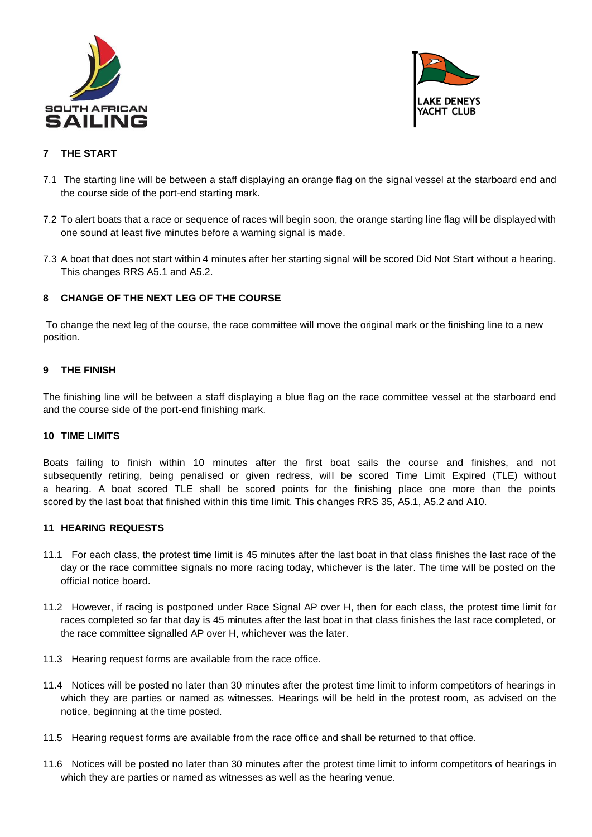



#### **7 THE START**

- 7.1 The starting line will be between a staff displaying an orange flag on the signal vessel at the starboard end and the course side of the port-end starting mark.
- 7.2 To alert boats that a race or sequence of races will begin soon, the orange starting line flag will be displayed with one sound at least five minutes before a warning signal is made.
- 7.3 A boat that does not start within 4 minutes after her starting signal will be scored Did Not Start without a hearing. This changes RRS A5.1 and A5.2.

#### **8 CHANGE OF THE NEXT LEG OF THE COURSE**

To change the next leg of the course, the race committee will move the original mark or the finishing line to a new position.

#### **9 THE FINISH**

The finishing line will be between a staff displaying a blue flag on the race committee vessel at the starboard end and the course side of the port-end finishing mark.

#### **10 TIME LIMITS**

Boats failing to finish within 10 minutes after the first boat sails the course and finishes, and not subsequently retiring, being penalised or given redress, will be scored Time Limit Expired (TLE) without a hearing. A boat scored TLE shall be scored points for the finishing place one more than the points scored by the last boat that finished within this time limit. This changes RRS 35, A5.1, A5.2 and A10.

#### **11 HEARING REQUESTS**

- 11.1 For each class, the protest time limit is 45 minutes after the last boat in that class finishes the last race of the day or the race committee signals no more racing today, whichever is the later. The time will be posted on the official notice board.
- 11.2 However, if racing is postponed under Race Signal AP over H, then for each class, the protest time limit for races completed so far that day is 45 minutes after the last boat in that class finishes the last race completed, or the race committee signalled AP over H, whichever was the later.
- 11.3 Hearing request forms are available from the race office.
- 11.4 Notices will be posted no later than 30 minutes after the protest time limit to inform competitors of hearings in which they are parties or named as witnesses. Hearings will be held in the protest room, as advised on the notice, beginning at the time posted.
- 11.5 Hearing request forms are available from the race office and shall be returned to that office.
- 11.6 Notices will be posted no later than 30 minutes after the protest time limit to inform competitors of hearings in which they are parties or named as witnesses as well as the hearing venue.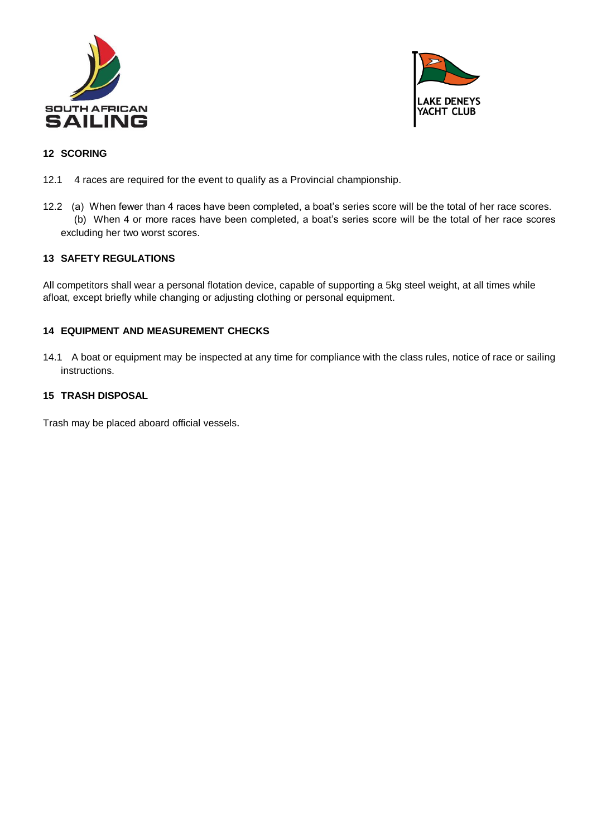



#### **12 SCORING**

- 12.1 4 races are required for the event to qualify as a Provincial championship.
- 12.2 (a) When fewer than 4 races have been completed, a boat's series score will be the total of her race scores. (b) When 4 or more races have been completed, a boat's series score will be the total of her race scores excluding her two worst scores.

#### **13 SAFETY REGULATIONS**

All competitors shall wear a personal flotation device, capable of supporting a 5kg steel weight, at all times while afloat, except briefly while changing or adjusting clothing or personal equipment.

#### **14 EQUIPMENT AND MEASUREMENT CHECKS**

14.1 A boat or equipment may be inspected at any time for compliance with the class rules, notice of race or sailing instructions.

#### **15 TRASH DISPOSAL**

Trash may be placed aboard official vessels.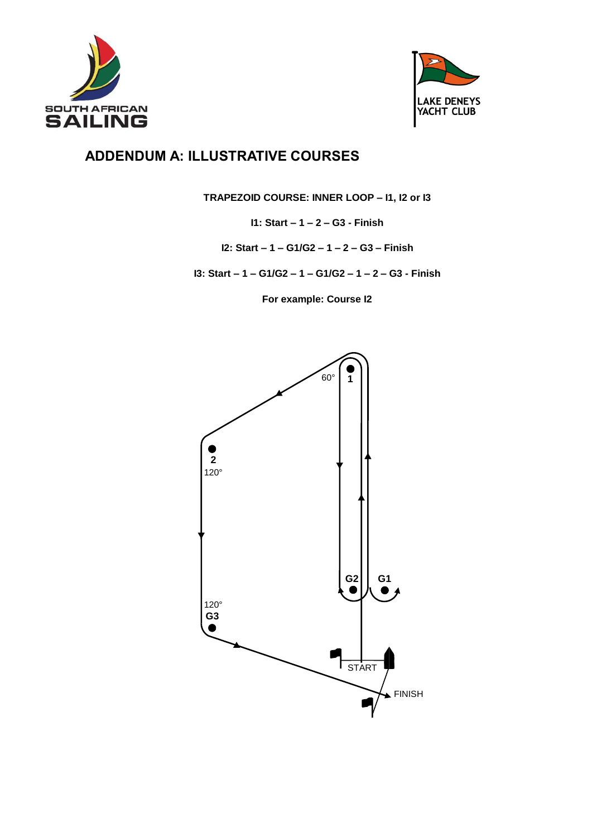



### **ADDENDUM A: ILLUSTRATIVE COURSES**

**TRAPEZOID COURSE: INNER LOOP – I1, I2 or I3**

**I1: Start – 1 – 2 – G3 - Finish**

**I2: Start – 1 – G1/G2 – 1 – 2 – G3 – Finish**

**I3: Start – 1 – G1/G2 – 1 – G1/G2 – 1 – 2 – G3 - Finish**

**For example: Course I2**